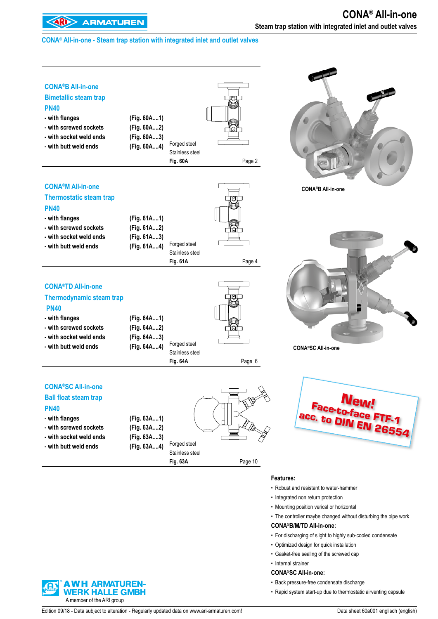#### **CONA® All-in-one - Steam trap station with integrated inlet and outlet valves**

| <b>CONA®B All-in-one</b><br><b>Bimetallic steam trap</b><br><b>PN40</b><br>- with flanges<br>- with screwed sockets<br>- with socket weld ends<br>- with butt weld ends     | (Fig. 60A1)<br>(Fig. 60A2)<br>(Fig. 60A3)<br>(Fig. 60A4) | Forged steel<br>Stainless steel<br><b>Fig. 60A</b> | Page 2        |                                                                              |
|-----------------------------------------------------------------------------------------------------------------------------------------------------------------------------|----------------------------------------------------------|----------------------------------------------------|---------------|------------------------------------------------------------------------------|
| <b>CONA<sup>®</sup>M All-in-one</b><br><b>Thermostatic steam trap</b><br><b>PN40</b>                                                                                        |                                                          |                                                    |               | <b>CONA®B All-in-one</b>                                                     |
| - with flanges<br>- with screwed sockets<br>- with socket weld ends<br>- with butt weld ends                                                                                | (Fig. 61A1)<br>(Fig. 61A2)<br>(Fig. 61A3)<br>(Fig. 61A4) | Forged steel<br>Stainless steel<br><b>Fig. 61A</b> | ਾਡਾ<br>Page 4 |                                                                              |
| <b>CONA®TD All-in-one</b><br><b>Thermodynamic steam trap</b><br><b>PN40</b><br>- with flanges<br>- with screwed sockets<br>- with socket weld ends<br>- with butt weld ends | (Fig. 64A1)<br>(Fig. 64A2)<br>(Fig. 64A3)<br>(Fig. 64A4) | Forged steel                                       |               | <b>CONA®SC All-in-one</b>                                                    |
|                                                                                                                                                                             |                                                          | Stainless steel<br><b>Fig. 64A</b>                 | Page 6        |                                                                              |
| <b>CONA®SC All-in-one</b><br><b>Ball float steam trap</b><br><b>PN40</b><br>- with flanges<br>- with screwed sockets<br>- with socket weld ends<br>- with butt weld ends    | (Fig. 63A1)<br>(Fig. 63A2)<br>(Fig. 63A3)<br>(Fig. 63A4) | Forged steel<br>Stainless steel<br><b>Fig. 63A</b> | Page 10       | <b>New!</b><br>acc. to DIN EN 26554                                          |
|                                                                                                                                                                             |                                                          |                                                    |               | Features:                                                                    |
|                                                                                                                                                                             |                                                          |                                                    |               | • Robust and resistant to water-hammer<br>• Integrated non return protection |

- Mounting position verical or horizontal
- The controller maybe changed without disturbing the pipe work

#### **CONA®B/M/TD All-in-one:**

- For discharging of slight to highly sub-cooled condensate
- Optimized design for quick installation
- Gasket-free sealing of the screwed cap
- Internal strainer

#### **CONA®SC All-in-one:**

- Back pressure-free condensate discharge
- Rapid system start-up due to thermostatic airventing capsule

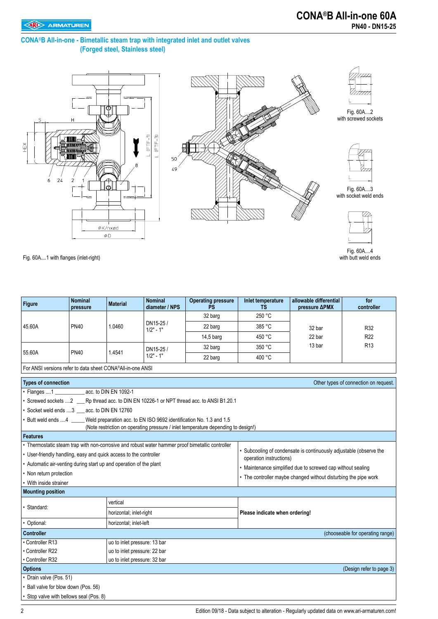#### **CONA®B All-in-one - Bimetallic steam trap with integrated inlet and outlet valves (Forged steel, Stainless steel)**







Fig. 60A....2 with screwed sockets



Fig. 60A....3 with socket weld ends



Fig. 60A....4 with butt weld ends

Fig. 60A....1 with flanges (inlet-right)

| <b>Figure</b>                                                                                    | <b>Nominal</b><br>pressure                                                                                                                                                   | <b>Material</b>              | <b>Nominal</b><br>diameter / NPS | <b>Operating pressure</b><br><b>PS</b> | Inlet temperature<br>ΤS        | allowable differential<br>pressure ΔPMX                            | for<br>controller                     |  |  |  |  |  |
|--------------------------------------------------------------------------------------------------|------------------------------------------------------------------------------------------------------------------------------------------------------------------------------|------------------------------|----------------------------------|----------------------------------------|--------------------------------|--------------------------------------------------------------------|---------------------------------------|--|--|--|--|--|
|                                                                                                  |                                                                                                                                                                              |                              |                                  | 32 barg                                | 250 °C                         |                                                                    |                                       |  |  |  |  |  |
| 45.60A                                                                                           | <b>PN40</b>                                                                                                                                                                  | 1.0460                       | DN15-25/<br>$1/2" - 1"$          | 22 barg                                | 385 °C                         | 32 bar                                                             | R32                                   |  |  |  |  |  |
|                                                                                                  |                                                                                                                                                                              |                              |                                  | 14,5 barg                              | 450 °C                         | 22 bar                                                             | R <sub>22</sub>                       |  |  |  |  |  |
|                                                                                                  |                                                                                                                                                                              |                              | DN15-25 /                        | 32 barg                                | 350 °C                         | 13 bar                                                             | R <sub>13</sub>                       |  |  |  |  |  |
| 55.60A                                                                                           | <b>PN40</b>                                                                                                                                                                  | 1.4541                       | $1/2" - 1"$                      | 22 barg                                | 400 °C                         |                                                                    |                                       |  |  |  |  |  |
| For ANSI versions refer to data sheet CONA®All-in-one ANSI                                       |                                                                                                                                                                              |                              |                                  |                                        |                                |                                                                    |                                       |  |  |  |  |  |
| <b>Types of connection</b>                                                                       |                                                                                                                                                                              |                              |                                  |                                        |                                |                                                                    | Other types of connection on request. |  |  |  |  |  |
| Flanges 1                                                                                        |                                                                                                                                                                              | acc. to DIN EN 1092-1        |                                  |                                        |                                |                                                                    |                                       |  |  |  |  |  |
|                                                                                                  | Screwed sockets  2 ____ Rp thread acc. to DIN EN 10226-1 or NPT thread acc. to ANSI B1.20.1                                                                                  |                              |                                  |                                        |                                |                                                                    |                                       |  |  |  |  |  |
| Socket weld ends  3 __ acc. to DIN EN 12760                                                      |                                                                                                                                                                              |                              |                                  |                                        |                                |                                                                    |                                       |  |  |  |  |  |
|                                                                                                  | Weld preparation acc. to EN ISO 9692 identification No. 1.3 and 1.5<br>Butt weld ends 4<br>(Note restriction on operating pressure / inlet temperature depending to design!) |                              |                                  |                                        |                                |                                                                    |                                       |  |  |  |  |  |
| <b>Features</b>                                                                                  |                                                                                                                                                                              |                              |                                  |                                        |                                |                                                                    |                                       |  |  |  |  |  |
| • Thermostatic steam trap with non-corrosive and robust water hammer proof bimetallic controller |                                                                                                                                                                              |                              |                                  |                                        |                                |                                                                    |                                       |  |  |  |  |  |
| • User-friendly handling, easy and quick access to the controller                                |                                                                                                                                                                              |                              |                                  |                                        |                                | • Subcooling of condensate is continuously adjustable (observe the |                                       |  |  |  |  |  |
| • Automatic air-venting during start up and operation of the plant                               |                                                                                                                                                                              |                              |                                  |                                        | operation instructions)        |                                                                    |                                       |  |  |  |  |  |
| • Non return protection                                                                          |                                                                                                                                                                              |                              |                                  |                                        |                                | • Maintenance simplified due to screwed cap without sealing        |                                       |  |  |  |  |  |
| • With inside strainer                                                                           |                                                                                                                                                                              |                              |                                  |                                        |                                | • The controller maybe changed without disturbing the pipe work    |                                       |  |  |  |  |  |
| <b>Mounting position</b>                                                                         |                                                                                                                                                                              |                              |                                  |                                        |                                |                                                                    |                                       |  |  |  |  |  |
|                                                                                                  |                                                                                                                                                                              | vertical                     |                                  |                                        |                                |                                                                    |                                       |  |  |  |  |  |
| Standard:                                                                                        |                                                                                                                                                                              | horizontal; inlet-right      |                                  |                                        | Please indicate when ordering! |                                                                    |                                       |  |  |  |  |  |
| Optional:                                                                                        |                                                                                                                                                                              | horizontal; inlet-left       |                                  |                                        |                                |                                                                    |                                       |  |  |  |  |  |
| Controller                                                                                       |                                                                                                                                                                              |                              |                                  |                                        |                                |                                                                    | (chooseable for operating range)      |  |  |  |  |  |
| • Controller R13                                                                                 |                                                                                                                                                                              | uo to inlet pressure: 13 bar |                                  |                                        |                                |                                                                    |                                       |  |  |  |  |  |
| • Controller R22                                                                                 |                                                                                                                                                                              | uo to inlet pressure: 22 bar |                                  |                                        |                                |                                                                    |                                       |  |  |  |  |  |
| • Controller R32                                                                                 |                                                                                                                                                                              | uo to inlet pressure: 32 bar |                                  |                                        |                                |                                                                    |                                       |  |  |  |  |  |
| <b>Options</b>                                                                                   |                                                                                                                                                                              |                              |                                  |                                        |                                |                                                                    | (Design refer to page 3)              |  |  |  |  |  |
| Drain valve (Pos. 51)                                                                            |                                                                                                                                                                              |                              |                                  |                                        |                                |                                                                    |                                       |  |  |  |  |  |
| Ball valve for blow down (Pos. 56)                                                               |                                                                                                                                                                              |                              |                                  |                                        |                                |                                                                    |                                       |  |  |  |  |  |
| Stop valve with bellows seal (Pos. 8)                                                            |                                                                                                                                                                              |                              |                                  |                                        |                                |                                                                    |                                       |  |  |  |  |  |
|                                                                                                  |                                                                                                                                                                              |                              |                                  |                                        |                                |                                                                    |                                       |  |  |  |  |  |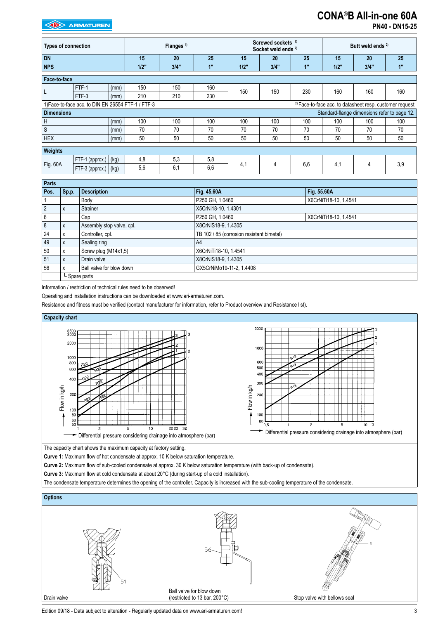#### **EXP** ARMATUREN

### **CONA®B All-in-one 60A**

**PN40 - DN15-25**

| <b>Types of connection</b>       |                                                    |      | Flanges <sup>1)</sup> |     |      | Screwed sockets <sup>2)</sup><br>Socket weld ends <sup>2)</sup> |     |      | Butt weld ends <sup>2)</sup> |                                                                     |     |
|----------------------------------|----------------------------------------------------|------|-----------------------|-----|------|-----------------------------------------------------------------|-----|------|------------------------------|---------------------------------------------------------------------|-----|
| <b>DN</b>                        |                                                    |      | 15                    | 20  | 25   | 15                                                              | 20  | 25   | 15                           | 20                                                                  | 25  |
| <b>NPS</b><br>3/4"<br>1"<br>1/2" |                                                    |      |                       |     | 1/2" | 3/4"                                                            | 1"  | 1/2" | 3/4"                         | 1"                                                                  |     |
| Face-to-face                     |                                                    |      |                       |     |      |                                                                 |     |      |                              |                                                                     |     |
| L                                | FTF-1                                              | (mm) | 150                   | 150 | 160  | 150                                                             | 150 | 230  | 160                          | 160                                                                 | 160 |
|                                  | FTF-3                                              | (mm) | 210                   | 210 | 230  |                                                                 |     |      |                              |                                                                     |     |
|                                  | 1) Face-to-face acc. to DIN EN 26554 FTF-1 / FTF-3 |      |                       |     |      |                                                                 |     |      |                              | <sup>2)</sup> Face-to-face acc. to datasheet resp. customer request |     |
| <b>Dimensions</b>                |                                                    |      |                       |     |      |                                                                 |     |      |                              | Standard-flange dimensions refer to page 12.                        |     |
| H                                |                                                    | (mm) | 100                   | 100 | 100  | 100                                                             | 100 | 100  | 100                          | 100                                                                 | 100 |
| $\mathsf S$                      |                                                    | (mm) | 70                    | 70  | 70   | 70                                                              | 70  | 70   | 70                           | 70                                                                  | 70  |
| <b>HEX</b>                       |                                                    | (mm) | 50                    | 50  | 50   | 50                                                              | 50  | 50   | 50                           | 50                                                                  | 50  |
| <b>Weights</b>                   |                                                    |      |                       |     |      |                                                                 |     |      |                              |                                                                     |     |
|                                  | FTF-1 (approx.)                                    | (kg) | 4,8                   | 5,3 | 5,8  |                                                                 |     |      | 4,1                          | 4                                                                   |     |
| Fig. 60A                         | FTF-3 (approx.) (kg)                               |      | 5,6                   | 6,1 | 6,6  | 4,1                                                             | 4   | 6,6  |                              |                                                                     | 3,9 |

| <b>Parts</b> |       |                           |                                           |                       |
|--------------|-------|---------------------------|-------------------------------------------|-----------------------|
| Pos.         | Sp.p. | <b>Description</b>        | Fig. 45.60A                               | Fig. 55.60A           |
|              |       | Body                      | P250 GH, 1.0460                           | X6CrNiTi18-10, 1.4541 |
|              | X     | Strainer                  | X5CrNi18-10, 1.4301                       |                       |
| 6            |       | Cap                       | P250 GH, 1.0460                           | X6CrNiTi18-10, 1.4541 |
|              | X     | Assembly stop valve, cpl. | X8CrNiS18-9, 1.4305                       |                       |
| 24           | X     | Controller, cpl.          | TB 102 / 85 (corrosion resistant bimetal) |                       |
| 49           | X     | Sealing ring              | A4                                        |                       |
| 50           | x     | Screw plug (M14x1,5)      | X6CrNiTi18-10, 1.4541                     |                       |
| 51           | X     | Drain valve               | X8CrNiS18-9, 1.4305                       |                       |
| 56           |       | Ball valve for blow down  | GX5CrNiMo19-11-2, 1.4408                  |                       |
|              |       | L Spare parts             |                                           |                       |

Information / restriction of technical rules need to be observed!

Operating and installation instructions can be downloaded at www.ari-armaturen.com.

Resistance and fitness must be verified (contact manufacturer for information, refer to Product overview and Resistance list).



The capacity chart shows the maximum capacity at factory setting.

**Curve 1:** Maximum flow of hot condensate at approx. 10 K below saturation temperature.

**Curve 2:** Maximum flow of sub-cooled condensate at approx. 30 K below saturation temperature (with back-up of condensate).

**Curve 3:** Maximum flow at cold condensate at about 20°C (during start-up of a cold installation).

The condensate temperature determines the opening of the controller. Capacity is increased with the sub-cooling temperature of the condensate.



Edition 09/18 - Data subject to alteration - Regularly updated data on www.ari-armaturen.com! 33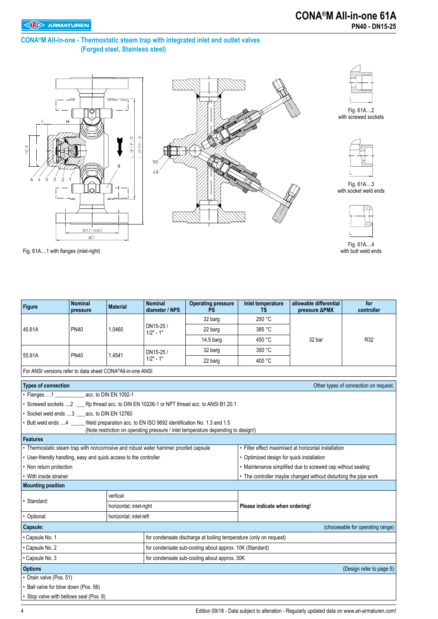#### **CONA®M All-in-one - Thermostatic steam trap with integrated inlet and outlet valves (Forged steel, Stainless steel)**







Fig. 61A....2 with screwed sockets



Fig. 61A....3 with socket weld ends



Fig. 61A....4 with butt weld ends

Fig. 61A....1 with flanges (inlet-right)

| <b>Figure</b>                                                                                                                                                               | <b>Nominal</b><br>pressure | <b>Material</b>         | <b>Nominal</b><br>diameter / NPS | <b>Operating pressure</b><br><b>PS</b>                                                       | <b>Inlet temperature</b><br>TS                              | allowable differential<br>pressure ΔPMX                         | for<br>controller                     |  |  |  |  |
|-----------------------------------------------------------------------------------------------------------------------------------------------------------------------------|----------------------------|-------------------------|----------------------------------|----------------------------------------------------------------------------------------------|-------------------------------------------------------------|-----------------------------------------------------------------|---------------------------------------|--|--|--|--|
|                                                                                                                                                                             |                            |                         |                                  | 32 barg                                                                                      | 250 °C                                                      |                                                                 |                                       |  |  |  |  |
| 45.61A                                                                                                                                                                      | <b>PN40</b>                | 1.0460                  | DN15-25/<br>$1/2" - 1"$          | 22 barg                                                                                      | 385 °C                                                      |                                                                 |                                       |  |  |  |  |
|                                                                                                                                                                             |                            |                         |                                  | 14,5 barg                                                                                    | 450 °C                                                      | 32 bar                                                          | R32                                   |  |  |  |  |
|                                                                                                                                                                             |                            |                         | DN15-25 /                        | 32 barg                                                                                      | 350 °C                                                      |                                                                 |                                       |  |  |  |  |
| 55.61A                                                                                                                                                                      | <b>PN40</b>                | 1.4541                  | $1/2" - 1"$                      | 22 barg                                                                                      | 400 °C                                                      |                                                                 |                                       |  |  |  |  |
| For ANSI versions refer to data sheet CONA®All-in-one ANSI                                                                                                                  |                            |                         |                                  |                                                                                              |                                                             |                                                                 |                                       |  |  |  |  |
| <b>Types of connection</b>                                                                                                                                                  |                            |                         |                                  |                                                                                              |                                                             |                                                                 | Other types of connection on request. |  |  |  |  |
| • Flanges 1 ______________ acc. to DIN EN 1092-1                                                                                                                            |                            |                         |                                  |                                                                                              |                                                             |                                                                 |                                       |  |  |  |  |
|                                                                                                                                                                             |                            |                         |                                  | • Screwed sockets 2 ____ Rp thread acc. to DIN EN 10226-1 or NPT thread acc. to ANSI B1.20.1 |                                                             |                                                                 |                                       |  |  |  |  |
| • Socket weld ends 3 acc. to DIN EN 12760                                                                                                                                   |                            |                         |                                  |                                                                                              |                                                             |                                                                 |                                       |  |  |  |  |
| • Butt weld ends 4 Weld preparation acc. to EN ISO 9692 identification No. 1.3 and 1.5<br>(Note restriction on operating pressure / inlet temperature depending to design!) |                            |                         |                                  |                                                                                              |                                                             |                                                                 |                                       |  |  |  |  |
| <b>Features</b>                                                                                                                                                             |                            |                         |                                  |                                                                                              |                                                             |                                                                 |                                       |  |  |  |  |
| • Thermostatic steam trap with noncorrosive and robust water hammer proofed capsule                                                                                         |                            |                         |                                  |                                                                                              |                                                             | · Filter effect maximised at horizontal installation            |                                       |  |  |  |  |
| • User-friendly handling, easy and quick access to the controller                                                                                                           |                            |                         |                                  |                                                                                              | • Optimized design for quick installation                   |                                                                 |                                       |  |  |  |  |
| • Non return protection                                                                                                                                                     |                            |                         |                                  |                                                                                              | • Maintenance simplified due to screwed cap without sealing |                                                                 |                                       |  |  |  |  |
| • With inside strainer                                                                                                                                                      |                            |                         |                                  |                                                                                              |                                                             | • The controller maybe changed without disturbing the pipe work |                                       |  |  |  |  |
| <b>Mounting position</b>                                                                                                                                                    |                            |                         |                                  |                                                                                              |                                                             |                                                                 |                                       |  |  |  |  |
| · Standard:                                                                                                                                                                 |                            | vertical                |                                  |                                                                                              |                                                             |                                                                 |                                       |  |  |  |  |
|                                                                                                                                                                             |                            | horizontal; inlet-right |                                  |                                                                                              | Please indicate when ordering!                              |                                                                 |                                       |  |  |  |  |
| • Optional:                                                                                                                                                                 |                            | horizontal: inlet-left  |                                  |                                                                                              |                                                             |                                                                 |                                       |  |  |  |  |
| Capsule:                                                                                                                                                                    |                            |                         |                                  |                                                                                              |                                                             |                                                                 | (chooseable for operating range)      |  |  |  |  |
| · Capsule No. 1                                                                                                                                                             |                            |                         |                                  | for condensate discharge at boiling temperature (only on request)                            |                                                             |                                                                 |                                       |  |  |  |  |
| • Capsule No. 2                                                                                                                                                             |                            |                         |                                  | for condensate sub-cooling about approx. 10K (Standard)                                      |                                                             |                                                                 |                                       |  |  |  |  |
| • Capsule No. 3                                                                                                                                                             |                            |                         |                                  | for condensate sub-cooling about approx. 30K                                                 |                                                             |                                                                 |                                       |  |  |  |  |
| <b>Options</b>                                                                                                                                                              |                            |                         |                                  |                                                                                              |                                                             |                                                                 | (Design refer to page 5)              |  |  |  |  |
| • Drain valve (Pos. 51)                                                                                                                                                     |                            |                         |                                  |                                                                                              |                                                             |                                                                 |                                       |  |  |  |  |
| • Ball valve for blow down (Pos. 56)                                                                                                                                        |                            |                         |                                  |                                                                                              |                                                             |                                                                 |                                       |  |  |  |  |
| • Stop valve with bellows seal (Pos. 8)                                                                                                                                     |                            |                         |                                  |                                                                                              |                                                             |                                                                 |                                       |  |  |  |  |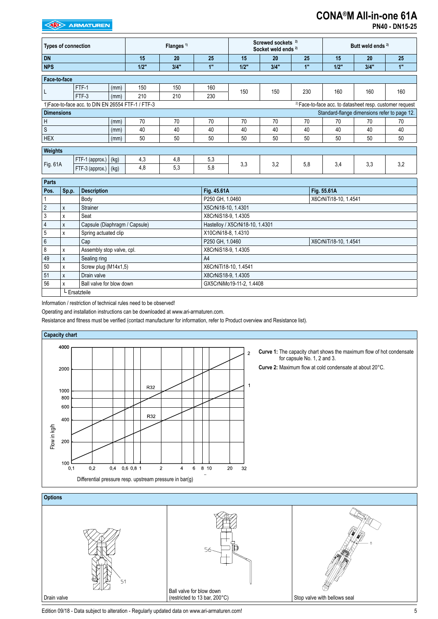#### **EXAMPLE ARMATUREN**

# **CONA®M All-in-one 61A**

| <b>PN40 - DN15-25</b> |  |
|-----------------------|--|
|-----------------------|--|

| <b>Types of connection</b> |                                                    |      | Flanges <sup>1)</sup> |      |     | Screwed sockets <sup>2)</sup><br>Socket weld ends <sup>2)</sup> |      |     | Butt weld ends <sup>2)</sup>                                        |      |     |
|----------------------------|----------------------------------------------------|------|-----------------------|------|-----|-----------------------------------------------------------------|------|-----|---------------------------------------------------------------------|------|-----|
| <b>DN</b>                  |                                                    |      | 15                    | 20   | 25  | 15                                                              | 20   | 25  | 15                                                                  | 20   | 25  |
| <b>NPS</b>                 |                                                    |      | 1/2"                  | 3/4" | 1"  | 1/2"                                                            | 3/4" | 1"  | 1/2"                                                                | 3/4" | 1"  |
| Face-to-face               |                                                    |      |                       |      |     |                                                                 |      |     |                                                                     |      |     |
|                            | FTF-1                                              | (mm) | 150                   | 150  | 160 | 150                                                             | 150  | 230 | 160                                                                 | 160  | 160 |
|                            | FTF-3                                              | (mm) | 210                   | 210  | 230 |                                                                 |      |     |                                                                     |      |     |
|                            | 1) Face-to-face acc. to DIN EN 26554 FTF-1 / FTF-3 |      |                       |      |     |                                                                 |      |     | <sup>2)</sup> Face-to-face acc. to datasheet resp. customer request |      |     |
| <b>Dimensions</b>          |                                                    |      |                       |      |     |                                                                 |      |     | Standard-flange dimensions refer to page 12.                        |      |     |
| H                          |                                                    | (mm) | 70                    | 70   | 70  | 70                                                              | 70   | 70  | 70                                                                  | 70   | 70  |
| ${\mathbb S}$              |                                                    | (mm) | 40                    | 40   | 40  | 40                                                              | 40   | 40  | 40                                                                  | 40   | 40  |
| <b>HEX</b>                 |                                                    | (mm) | 50                    | 50   | 50  | 50                                                              | 50   | 50  | 50                                                                  | 50   | 50  |
| Weights                    |                                                    |      |                       |      |     |                                                                 |      |     |                                                                     |      |     |
|                            | FTF-1 (approx.)                                    | (kg) | 4,3                   | 4,8  | 5,3 |                                                                 |      |     | 3,4                                                                 | 3,3  |     |
| Fig. 61A                   | FTF-3 (approx.)                                    | (kg) | 4,8                   | 5.3  | 5.8 | 3,3                                                             | 3,2  | 5,8 |                                                                     |      | 3,2 |

| Parts          |               |                               |                                 |                       |  |
|----------------|---------------|-------------------------------|---------------------------------|-----------------------|--|
| Pos.           | Sp.p.         | <b>Description</b>            | Fig. 45.61A                     | Fig. 55.61A           |  |
|                |               | Body                          | P250 GH, 1.0460                 | X6CrNiTi18-10, 1.4541 |  |
| $\overline{2}$ | X             | Strainer                      | X5CrNi18-10, 1.4301             |                       |  |
| 3              | X             | Seat                          | X8CrNiS18-9, 1.4305             |                       |  |
|                | X             | Capsule (Diaphragm / Capsule) | Hastelloy / X5CrNi18-10, 1.4301 |                       |  |
| -5             | X             | Spring actuated clip          | X10CrNi18-8, 1.4310             |                       |  |
| $6\phantom{1}$ |               | Cap                           | P250 GH, 1.0460                 | X6CrNiTi18-10, 1.4541 |  |
| 8              | X             | Assembly stop valve, cpl.     | X8CrNiS18-9, 1.4305             |                       |  |
| 49             | X             | Sealing ring                  | A <sup>4</sup>                  |                       |  |
| 50             | X             | Screw plug (M14x1,5)          | X6CrNiTi18-10, 1.4541           |                       |  |
| 51             | X             | Drain valve                   | X8CrNiS18-9, 1.4305             |                       |  |
| 56             |               | Ball valve for blow down      | GX5CrNiMo19-11-2, 1.4408        |                       |  |
|                | L Ersatzteile |                               |                                 |                       |  |

Information / restriction of technical rules need to be observed!

Operating and installation instructions can be downloaded at www.ari-armaturen.com.

Resistance and fitness must be verified (contact manufacturer for information, refer to Product overview and Resistance list).





Edition 09/18 - Data subject to alteration - Regularly updated data on www.ari-armaturen.com!<br>5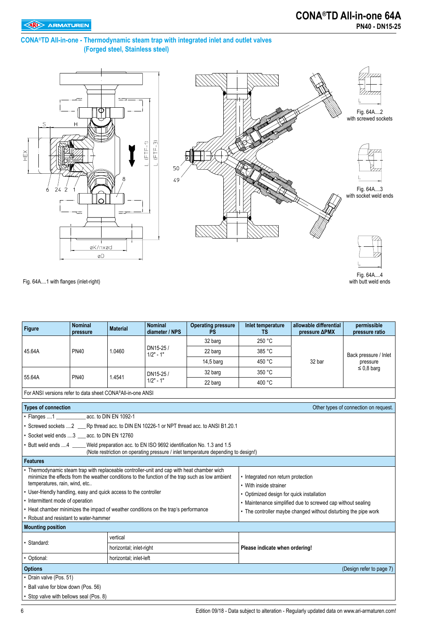with butt weld ends

#### **CONA®TD All-in-one - Thermodynamic steam trap with integrated inlet and outlet valves (Forged steel, Stainless steel)**





Fig. 64A....1 with flanges (inlet-right)

| Figure                                                                                                                                                                      | <b>Nominal</b><br>pressure                | <b>Material</b>         | <b>Nominal</b><br>diameter / NPS | <b>Operating pressure</b><br><b>PS</b>                                                           | Inlet temperature<br><b>TS</b>                               | allowable differential<br>pressure ΔPMX                         | permissible<br>pressure ratio |  |  |  |  |  |
|-----------------------------------------------------------------------------------------------------------------------------------------------------------------------------|-------------------------------------------|-------------------------|----------------------------------|--------------------------------------------------------------------------------------------------|--------------------------------------------------------------|-----------------------------------------------------------------|-------------------------------|--|--|--|--|--|
|                                                                                                                                                                             |                                           |                         |                                  | 32 barg                                                                                          | 250 °C                                                       |                                                                 |                               |  |  |  |  |  |
| 45.64A                                                                                                                                                                      | <b>PN40</b>                               | 1.0460                  | DN15-25 /<br>$1/2" - 1"$         | 22 barg                                                                                          | 385 °C                                                       |                                                                 | Back pressure / Inlet         |  |  |  |  |  |
|                                                                                                                                                                             |                                           |                         |                                  | $14,5$ barg                                                                                      | 450 °C                                                       | 32 bar                                                          | pressure                      |  |  |  |  |  |
|                                                                                                                                                                             |                                           |                         | DN15-25/                         | 32 barg                                                                                          | 350 °C                                                       |                                                                 | $\leq$ 0.8 barg               |  |  |  |  |  |
| 55.64A                                                                                                                                                                      | <b>PN40</b>                               | 1.4541                  | $1/2" - 1"$                      | 22 barg                                                                                          | 400 °C                                                       |                                                                 |                               |  |  |  |  |  |
| For ANSI versions refer to data sheet CONA®All-in-one ANSI                                                                                                                  |                                           |                         |                                  |                                                                                                  |                                                              |                                                                 |                               |  |  |  |  |  |
| <b>Types of connection</b><br>Other types of connection on request.                                                                                                         |                                           |                         |                                  |                                                                                                  |                                                              |                                                                 |                               |  |  |  |  |  |
| • Flanges 1 acc. to DIN EN 1092-1                                                                                                                                           |                                           |                         |                                  |                                                                                                  |                                                              |                                                                 |                               |  |  |  |  |  |
| • Screwed sockets 2 Rp thread acc. to DIN EN 10226-1 or NPT thread acc. to ANSI B1.20.1                                                                                     |                                           |                         |                                  |                                                                                                  |                                                              |                                                                 |                               |  |  |  |  |  |
|                                                                                                                                                                             | • Socket weld ends 3 acc. to DIN EN 12760 |                         |                                  |                                                                                                  |                                                              |                                                                 |                               |  |  |  |  |  |
| • Butt weld ends 4 Weld preparation acc. to EN ISO 9692 identification No. 1.3 and 1.5<br>(Note restriction on operating pressure / inlet temperature depending to design!) |                                           |                         |                                  |                                                                                                  |                                                              |                                                                 |                               |  |  |  |  |  |
| <b>Features</b>                                                                                                                                                             |                                           |                         |                                  |                                                                                                  |                                                              |                                                                 |                               |  |  |  |  |  |
| Thermodynamic steam trap with replaceable controller-unit and cap with heat chamber wich<br>temperatures, rain, wind, etc                                                   |                                           |                         |                                  | minimize the effects from the weather conditions to the function of the trap such as low ambient | • Integrated non return protection<br>• With inside strainer |                                                                 |                               |  |  |  |  |  |
| • User-friendly handling, easy and quick access to the controller                                                                                                           |                                           |                         |                                  |                                                                                                  | · Optimized design for quick installation                    |                                                                 |                               |  |  |  |  |  |
| • Intermittent mode of operation                                                                                                                                            |                                           |                         |                                  |                                                                                                  |                                                              | • Maintenance simplified due to screwed cap without sealing     |                               |  |  |  |  |  |
| • Heat chamber minimizes the impact of weather conditions on the trap's performance                                                                                         |                                           |                         |                                  |                                                                                                  |                                                              | • The controller maybe changed without disturbing the pipe work |                               |  |  |  |  |  |
| Robust and resistant to water-hammer                                                                                                                                        |                                           |                         |                                  |                                                                                                  |                                                              |                                                                 |                               |  |  |  |  |  |
| <b>Mounting position</b>                                                                                                                                                    |                                           |                         |                                  |                                                                                                  |                                                              |                                                                 |                               |  |  |  |  |  |
| · Standard:                                                                                                                                                                 |                                           | vertical                |                                  |                                                                                                  |                                                              |                                                                 |                               |  |  |  |  |  |
|                                                                                                                                                                             |                                           | horizontal; inlet-right |                                  |                                                                                                  | Please indicate when ordering!                               |                                                                 |                               |  |  |  |  |  |
| • Optional:                                                                                                                                                                 |                                           | horizontal; inlet-left  |                                  |                                                                                                  |                                                              |                                                                 |                               |  |  |  |  |  |
| <b>Options</b>                                                                                                                                                              |                                           |                         |                                  |                                                                                                  |                                                              |                                                                 | (Design refer to page 7)      |  |  |  |  |  |
| • Drain valve (Pos. 51)                                                                                                                                                     |                                           |                         |                                  |                                                                                                  |                                                              |                                                                 |                               |  |  |  |  |  |
| • Ball valve for blow down (Pos. 56)                                                                                                                                        |                                           |                         |                                  |                                                                                                  |                                                              |                                                                 |                               |  |  |  |  |  |
| • Stop valve with bellows seal (Pos. 8)                                                                                                                                     |                                           |                         |                                  |                                                                                                  |                                                              |                                                                 |                               |  |  |  |  |  |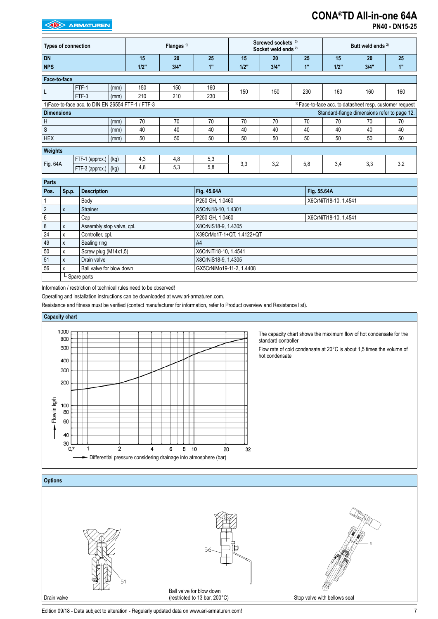#### **EXAMPLE ARMATUREN**

## **CONA®TD All-in-one 64A**

**PN40 - DN15-25**

| <b>Types of connection</b> |                                                    |      | Flanges <sup>1)</sup> |      |     | Screwed sockets <sup>2)</sup><br>Socket weld ends <sup>2)</sup> |      |     | Butt weld ends <sup>2)</sup> |                                                                     |     |
|----------------------------|----------------------------------------------------|------|-----------------------|------|-----|-----------------------------------------------------------------|------|-----|------------------------------|---------------------------------------------------------------------|-----|
| <b>DN</b>                  |                                                    |      | 15                    | 20   | 25  | 15                                                              | 20   | 25  | 15                           | 20                                                                  | 25  |
| <b>NPS</b>                 |                                                    |      | 1/2"                  | 3/4" | 1"  | 1/2"                                                            | 3/4" | 1"  | $1/2$ "                      | 3/4"                                                                | 1"  |
| Face-to-face               |                                                    |      |                       |      |     |                                                                 |      |     |                              |                                                                     |     |
|                            | FTF-1                                              | (mm) | 150                   | 150  | 160 | 150                                                             | 150  | 230 | 160                          | 160                                                                 | 160 |
| L                          | FTF-3                                              | (mm) | 210                   | 210  | 230 |                                                                 |      |     |                              |                                                                     |     |
|                            | 1) Face-to-face acc. to DIN EN 26554 FTF-1 / FTF-3 |      |                       |      |     |                                                                 |      |     |                              | <sup>2)</sup> Face-to-face acc. to datasheet resp. customer request |     |
| <b>Dimensions</b>          |                                                    |      |                       |      |     |                                                                 |      |     |                              | Standard-flange dimensions refer to page 12.                        |     |
| H                          |                                                    | (mm) | 70                    | 70   | 70  | 70                                                              | 70   | 70  | 70                           | 70                                                                  | 70  |
| $\mathsf S$                |                                                    | (mm) | 40                    | 40   | 40  | 40                                                              | 40   | 40  | 40                           | 40                                                                  | 40  |
| <b>HEX</b>                 |                                                    | (mm) | 50                    | 50   | 50  | 50                                                              | 50   | 50  | 50                           | 50                                                                  | 50  |
| Weights                    |                                                    |      |                       |      |     |                                                                 |      |     |                              |                                                                     |     |
|                            | FTF-1 (approx.)                                    | (kg) | 4,3                   | 4,8  | 5,3 |                                                                 |      |     |                              |                                                                     |     |
| Fig. 64A                   | FTF-3 (approx.)                                    | (kg) | 4,8                   | 5,3  | 5,8 | 3,3                                                             | 3,2  | 5,8 | 3,4                          | 3,3                                                                 | 3,2 |

| Parts          |              |                           |                           |                       |
|----------------|--------------|---------------------------|---------------------------|-----------------------|
| Pos.           | Sp.p.        | <b>Description</b>        | Fig. 45.64A               | Fig. 55.64A           |
|                |              | Body                      | P250 GH, 1.0460           | X6CrNiTi18-10, 1.4541 |
| $\overline{2}$ | $\mathsf{x}$ | Strainer                  | X5CrNi18-10, 1.4301       |                       |
| 6              |              | Cap                       | P250 GH, 1.0460           | X6CrNiTi18-10, 1.4541 |
| 8              | X            | Assembly stop valve, cpl. | X8CrNiS18-9, 1.4305       |                       |
| 24             | x            | Controller, cpl.          | X39CrMo17-1+QT, 1.4122+QT |                       |
| 49             | X            | Sealing ring              | A4                        |                       |
| 50             | X            | Screw plug (M14x1,5)      | X6CrNiTi18-10, 1.4541     |                       |
| 51             | X            | Drain valve               | X8CrNiS18-9, 1.4305       |                       |
| 56             |              | Ball valve for blow down  | GX5CrNiMo19-11-2, 1.4408  |                       |
|                |              | L Spare parts             |                           |                       |

Information / restriction of technical rules need to be observed!

Operating and installation instructions can be downloaded at www.ari-armaturen.com.

Resistance and fitness must be verified (contact manufacturer for information, refer to Product overview and Resistance list).





Edition 09/18 - Data subject to alteration - Regularly updated data on www.ari-armaturen.com!<br>
7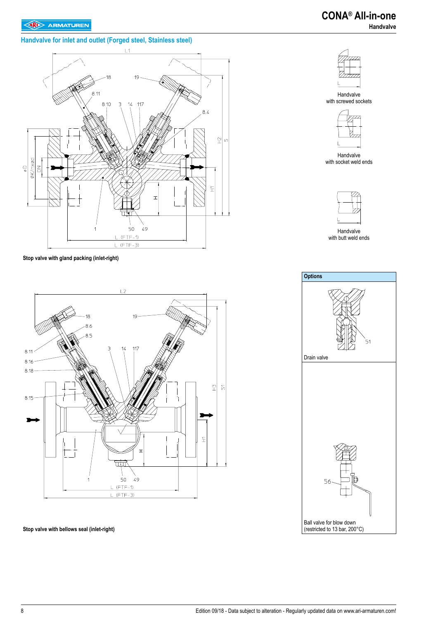#### **Handvalve for inlet and outlet (Forged steel, Stainless steel)**



**Stop valve with gland packing (inlet-right)**



**Stop valve with bellows seal (inlet-right)**



Handvalve with screwed sockets



Handvalve with socket weld ends



Handvalve with butt weld ends

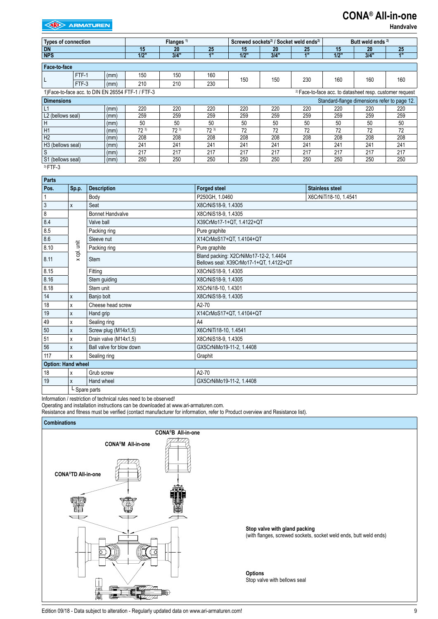### **CONA® All-in-one**

 **Handvalve**

| <b>Types of connection</b> |                                                                                                                           |      |      | Flanges <sup>1)</sup> |     |      | Screwed sockets <sup>2)</sup> / Socket weld ends <sup>2)</sup> |                | Butt weld ends <sup>2)</sup> |                                              |     |  |
|----------------------------|---------------------------------------------------------------------------------------------------------------------------|------|------|-----------------------|-----|------|----------------------------------------------------------------|----------------|------------------------------|----------------------------------------------|-----|--|
| <b>DN</b>                  |                                                                                                                           |      | 15   | 20                    | 25  | 15   | 20                                                             | 25             | 15                           | 20                                           | 25  |  |
| <b>NPS</b>                 |                                                                                                                           |      | 1/2" | 3/4"                  | 48  | 1/2" | 3/4"                                                           | 4 <sup>m</sup> | 1/2"                         | 3/4"                                         | 4"  |  |
| Face-to-face               |                                                                                                                           |      |      |                       |     |      |                                                                |                |                              |                                              |     |  |
|                            | FTF-1                                                                                                                     | (mm) | 150  | 150                   | 160 |      |                                                                |                |                              |                                              |     |  |
| L                          | FTF-3                                                                                                                     | (mm) | 210  | 210                   | 230 | 150  | 150                                                            | 230            | 160                          | 160                                          | 160 |  |
|                            | 1) Face-to-face acc. to DIN EN 26554 FTF-1 / FTF-3<br><sup>2)</sup> Face-to-face acc. to datasheet resp. customer request |      |      |                       |     |      |                                                                |                |                              |                                              |     |  |
| <b>Dimensions</b>          |                                                                                                                           |      |      |                       |     |      |                                                                |                |                              | Standard-flange dimensions refer to page 12. |     |  |
| L1                         |                                                                                                                           | (mm) | 220  | 220                   | 220 | 220  | 220                                                            | 220            | 220                          | 220                                          | 220 |  |
| L2 (bellows seal)          |                                                                                                                           | (mm) | 259  | 259                   | 259 | 259  | 259                                                            | 259            | 259                          | 259                                          | 259 |  |
| H                          |                                                                                                                           | (mm) | 50   | 50                    | 50  | 50   | 50                                                             | 50             | 50                           | 50                                           | 50  |  |
| H1                         |                                                                                                                           | (mm) | 723  | 723                   | 723 | 72   | 72                                                             | 72             | 72                           | 72                                           | 72  |  |
| H <sub>2</sub>             |                                                                                                                           | (mm) | 208  | 208                   | 208 | 208  | 208                                                            | 208            | 208<br>208<br>208            |                                              |     |  |
| H3 (bellows seal)          |                                                                                                                           | (mm) | 241  | 241                   | 241 | 241  | 241                                                            | 241            | 241<br>241<br>241            |                                              |     |  |
| S                          |                                                                                                                           | (mm) | 217  | 217                   | 217 | 217  | 217                                                            | 217            | 217<br>217<br>217            |                                              |     |  |
| S1 (bellows seal)          |                                                                                                                           | (mm) | 250  | 250                   | 250 | 250  | 250                                                            | 250            | 250                          | 250                                          | 250 |  |

 $3$ ) FTF-3

| <b>Parts</b>              |               |                                                                                                  |                           |                        |  |  |  |  |  |
|---------------------------|---------------|--------------------------------------------------------------------------------------------------|---------------------------|------------------------|--|--|--|--|--|
| Pos.                      | Sp.p.         | <b>Description</b>                                                                               | <b>Forged steel</b>       | <b>Stainless steel</b> |  |  |  |  |  |
|                           |               | Body                                                                                             | P250GH, 1.0460            | X6CrNiTi18-10, 1.4541  |  |  |  |  |  |
| $\sqrt{3}$                | X             | Seat                                                                                             | X8CrNiS18-9, 1.4305       |                        |  |  |  |  |  |
| $\bf 8$                   |               | <b>Bonnet Handvalve</b>                                                                          | X8CrNiS18-9, 1.4305       |                        |  |  |  |  |  |
| 8.4                       |               | Valve ball                                                                                       | X39CrMo17-1+QT, 1.4122+QT |                        |  |  |  |  |  |
| 8.5                       |               | Packing ring                                                                                     | Pure graphite             |                        |  |  |  |  |  |
| 8.6                       |               | Sleeve nut                                                                                       | X14CrMoS17+QT, 1.4104+QT  |                        |  |  |  |  |  |
| 8.10                      | cpl. unit     | Packing ring                                                                                     | Pure graphite             |                        |  |  |  |  |  |
| 8.11                      | $\times$      | Bland packing: X2CrNiMo17-12-2, 1.4404<br><b>Stem</b><br>Bellows seal: X39CrMo17-1+QT, 1.4122+QT |                           |                        |  |  |  |  |  |
| 8.15                      |               | X8CrNiS18-9, 1.4305<br>Fitting                                                                   |                           |                        |  |  |  |  |  |
| 8.16                      |               | Stem guiding                                                                                     | X8CrNiS18-9, 1.4305       |                        |  |  |  |  |  |
| 8.18                      |               | Stem unit                                                                                        | X5CrNi18-10, 1.4301       |                        |  |  |  |  |  |
| 14                        | X             | Banjo bolt                                                                                       | X8CrNiS18-9, 1.4305       |                        |  |  |  |  |  |
| 18                        | X             | Cheese head screw                                                                                | A2-70                     |                        |  |  |  |  |  |
| 19                        | X             | Hand grip                                                                                        | X14CrMoS17+QT, 1.4104+QT  |                        |  |  |  |  |  |
| 49                        | x             | Sealing ring                                                                                     | A4                        |                        |  |  |  |  |  |
| 50                        | X             | Screw plug (M14x1,5)                                                                             | X6CrNiTi18-10, 1.4541     |                        |  |  |  |  |  |
| 51                        | X             | Drain valve (M14x1,5)                                                                            | X8CrNiS18-9, 1.4305       |                        |  |  |  |  |  |
| 56                        | X             | Ball valve for blow down                                                                         | GX5CrNiMo19-11-2, 1.4408  |                        |  |  |  |  |  |
| 117                       | X             | Sealing ring                                                                                     | Graphit                   |                        |  |  |  |  |  |
| <b>Option: Hand wheel</b> |               |                                                                                                  |                           |                        |  |  |  |  |  |
| 18                        | X             | Grub screw                                                                                       | $A2-70$                   |                        |  |  |  |  |  |
| 19                        | x             | Hand wheel<br>GX5CrNiMo19-11-2, 1.4408                                                           |                           |                        |  |  |  |  |  |
|                           | L Spare parts |                                                                                                  |                           |                        |  |  |  |  |  |

Information / restriction of technical rules need to be observed!

Operating and installation instructions can be downloaded at www.ari-armaturen.com.

Resistance and fitness must be verified (contact manufacturer for information, refer to Product overview and Resistance list).

#### **Combinations**

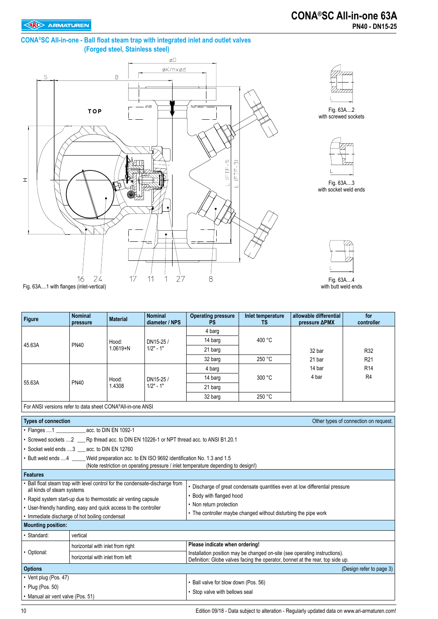#### **CONA®SC All-in-one - Ball float steam trap with integrated inlet and outlet valves (Forged steel, Stainless steel)**





Fig. 63A....2 with screwed sockets



with socket weld ends

Fig. 63A....3



Fig. 63A....4 with butt weld ends

| Figure                                                            | <b>Nominal</b><br>pressure      | <b>Material</b>                  | <b>Nominal</b><br>diameter / NPS                                                     | <b>Operating pressure</b><br><b>PS</b>                                                                                                                       | Inlet temperature<br><b>TS</b> | allowable differential<br>pressure ΔPMX                                    | for<br>controller                     |  |  |
|-------------------------------------------------------------------|---------------------------------|----------------------------------|--------------------------------------------------------------------------------------|--------------------------------------------------------------------------------------------------------------------------------------------------------------|--------------------------------|----------------------------------------------------------------------------|---------------------------------------|--|--|
|                                                                   |                                 |                                  |                                                                                      | 4 barg                                                                                                                                                       |                                | 32 bar                                                                     |                                       |  |  |
|                                                                   | <b>PN40</b>                     | Hood:<br>$1.0619 + N$            | DN15-25/<br>$1/2" - 1"$                                                              | 14 barg                                                                                                                                                      | 400 °C                         |                                                                            |                                       |  |  |
| 45.63A                                                            |                                 |                                  |                                                                                      | 21 barg                                                                                                                                                      |                                |                                                                            | R32                                   |  |  |
|                                                                   |                                 |                                  |                                                                                      | 32 barg                                                                                                                                                      | 250 °C                         | 21 bar                                                                     | R <sub>21</sub>                       |  |  |
|                                                                   |                                 |                                  |                                                                                      | 4 barg                                                                                                                                                       |                                | 14 bar                                                                     | R <sub>14</sub>                       |  |  |
| 55.63A                                                            | <b>PN40</b>                     | Hood:                            | DN15-25 /                                                                            | 14 barg                                                                                                                                                      | 300 °C                         | 4 bar                                                                      | R <sub>4</sub>                        |  |  |
|                                                                   |                                 | 1.4308                           | $1/2" - 1"$                                                                          | 21 barg                                                                                                                                                      |                                |                                                                            |                                       |  |  |
|                                                                   |                                 |                                  |                                                                                      | 32 barg                                                                                                                                                      | 250 °C                         |                                                                            |                                       |  |  |
| For ANSI versions refer to data sheet CONA®All-in-one ANSI        |                                 |                                  |                                                                                      |                                                                                                                                                              |                                |                                                                            |                                       |  |  |
| <b>Types of connection</b>                                        |                                 |                                  |                                                                                      |                                                                                                                                                              |                                |                                                                            | Other types of connection on request. |  |  |
| $\cdot$ Flanges 1                                                 | acc. to DIN EN 1092-1           |                                  |                                                                                      |                                                                                                                                                              |                                |                                                                            |                                       |  |  |
|                                                                   |                                 |                                  |                                                                                      | • Screwed sockets 2 ____ Rp thread acc. to DIN EN 10226-1 or NPT thread acc. to ANSI B1.20.1                                                                 |                                |                                                                            |                                       |  |  |
| • Socket weld ends 3 acc. to DIN EN 12760                         |                                 |                                  |                                                                                      |                                                                                                                                                              |                                |                                                                            |                                       |  |  |
|                                                                   |                                 |                                  | Butt weld ends 4 Weld preparation acc. to EN ISO 9692 identification No. 1.3 and 1.5 |                                                                                                                                                              |                                |                                                                            |                                       |  |  |
|                                                                   |                                 |                                  |                                                                                      | (Note restriction on operating pressure / inlet temperature depending to design!)                                                                            |                                |                                                                            |                                       |  |  |
| <b>Features</b>                                                   |                                 |                                  |                                                                                      |                                                                                                                                                              |                                |                                                                            |                                       |  |  |
| all kinds of steam systems                                        |                                 |                                  | Ball float steam trap with level control for the condensate-discharge from           |                                                                                                                                                              |                                | Discharge of great condensate quantities even at low differential pressure |                                       |  |  |
| • Rapid system start-up due to thermostatic air venting capsule   |                                 |                                  |                                                                                      | • Body with flanged hood                                                                                                                                     |                                |                                                                            |                                       |  |  |
| • User-friendly handling, easy and quick access to the controller |                                 |                                  |                                                                                      | • Non return protection                                                                                                                                      |                                |                                                                            |                                       |  |  |
| Immediate discharge of hot boiling condensat                      |                                 |                                  |                                                                                      | • The controller maybe changed without disturbing the pipe work                                                                                              |                                |                                                                            |                                       |  |  |
| <b>Mounting position:</b>                                         |                                 |                                  |                                                                                      |                                                                                                                                                              |                                |                                                                            |                                       |  |  |
| Standard:                                                         | vertical                        |                                  |                                                                                      |                                                                                                                                                              |                                |                                                                            |                                       |  |  |
|                                                                   |                                 | horizontal with inlet from right |                                                                                      | Please indicate when ordering!                                                                                                                               |                                |                                                                            |                                       |  |  |
| • Optional:                                                       | horizontal with inlet from left |                                  |                                                                                      | Installation position may be changed on-site (see operating instructions).<br>Definition: Globe valves facing the operator, bonnet at the rear, top side up. |                                |                                                                            |                                       |  |  |
| <b>Options</b>                                                    |                                 |                                  |                                                                                      |                                                                                                                                                              |                                |                                                                            | (Design refer to page 3)              |  |  |
| • Vent plug (Pos. 47)                                             |                                 |                                  |                                                                                      |                                                                                                                                                              |                                |                                                                            |                                       |  |  |
| $\cdot$ Plug (Pos. 50)                                            |                                 |                                  |                                                                                      | • Ball valve for blow down (Pos. 56)                                                                                                                         |                                |                                                                            |                                       |  |  |
| • Manual air vent valve (Pos. 51)                                 |                                 |                                  |                                                                                      | • Stop valve with bellows seal                                                                                                                               |                                |                                                                            |                                       |  |  |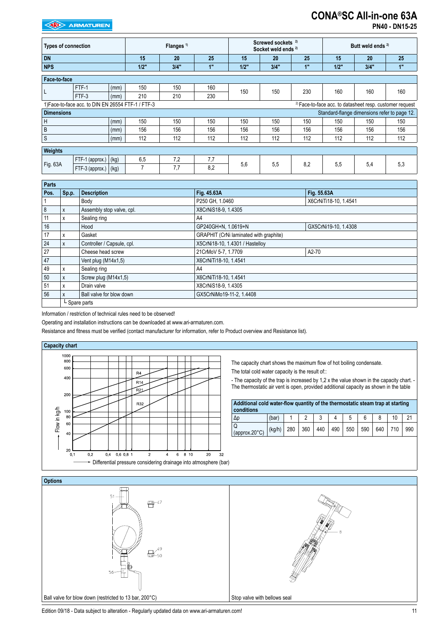#### **EXP** ARMATUREN

## **CONA®SC All-in-one 63A**

**PN40 - DN15-25**

| <b>Types of connection</b>                                                                                                |                      |      | Flanges <sup>1)</sup> |      |     | Screwed sockets <sup>2)</sup><br>Socket weld ends <sup>2)</sup> |      |     | Butt weld ends <sup>2)</sup>                 |      |     |
|---------------------------------------------------------------------------------------------------------------------------|----------------------|------|-----------------------|------|-----|-----------------------------------------------------------------|------|-----|----------------------------------------------|------|-----|
| <b>DN</b>                                                                                                                 |                      |      | 15                    | 20   | 25  | 15                                                              | 20   | 25  | 15                                           | 20   | 25  |
| <b>NPS</b>                                                                                                                |                      |      | 1/2"                  | 3/4" | 1"  | 1/2"                                                            | 3/4" | 1"  | 1/2"                                         | 3/4" | 1"  |
| Face-to-face                                                                                                              |                      |      |                       |      |     |                                                                 |      |     |                                              |      |     |
| L                                                                                                                         | FTF-1                | (mm) | 150                   | 150  | 160 | 150                                                             | 150  | 230 | 160                                          | 160  | 160 |
|                                                                                                                           | FTF-3                | (mm) | 210                   | 210  | 230 |                                                                 |      |     |                                              |      |     |
| 1) Face-to-face acc. to DIN EN 26554 FTF-1 / FTF-3<br><sup>2)</sup> Face-to-face acc. to datasheet resp. customer request |                      |      |                       |      |     |                                                                 |      |     |                                              |      |     |
| <b>Dimensions</b>                                                                                                         |                      |      |                       |      |     |                                                                 |      |     | Standard-flange dimensions refer to page 12. |      |     |
| H                                                                                                                         |                      | (mm) | 150                   | 150  | 150 | 150                                                             | 150  | 150 | 150                                          | 150  | 150 |
| B                                                                                                                         |                      | (mm) | 156                   | 156  | 156 | 156                                                             | 156  | 156 | 156                                          | 156  | 156 |
| $\mathsf S$                                                                                                               |                      | (mm) | 112                   | 112  | 112 | 112                                                             | 112  | 112 | 112                                          | 112  | 112 |
| <b>Weights</b>                                                                                                            |                      |      |                       |      |     |                                                                 |      |     |                                              |      |     |
| Fig. 63A                                                                                                                  | FTF-1 (approx.)      | (kg) | 6,5                   | 7,2  | 7,7 |                                                                 |      | 8,2 | 5,5                                          | 5,4  | 5,3 |
|                                                                                                                           | FTF-3 (approx.) (kg) |      | 7                     | 7,7  | 8,2 | 5,6                                                             | 5,5  |     |                                              |      |     |

| <b>Parts</b> |               |                            |                                        |                       |  |  |  |  |  |  |
|--------------|---------------|----------------------------|----------------------------------------|-----------------------|--|--|--|--|--|--|
| Pos.         | Sp.p.         | <b>Description</b>         | Fig. 45.63A                            | Fig. 55.63A           |  |  |  |  |  |  |
|              |               | Body                       | P250 GH, 1.0460                        | X6CrNiTi18-10, 1.4541 |  |  |  |  |  |  |
| 8            | X             | Assembly stop valve, cpl.  | X8CrNiS18-9, 1.4305                    |                       |  |  |  |  |  |  |
| 11           | x             | Sealing ring               | A4                                     |                       |  |  |  |  |  |  |
| 16           |               | Hood                       | GP240GH+N, 1.0619+N                    | GX5CrNi19-10, 1.4308  |  |  |  |  |  |  |
| 17           | x             | Gasket                     | GRAPHIT (CrNi laminated with graphite) |                       |  |  |  |  |  |  |
| 24           | X             | Controller / Capsule, cpl. | X5CrNi18-10, 1.4301 / Hastelloy        |                       |  |  |  |  |  |  |
| 27           |               | Cheese head screw          | 21CrMoV 5-7, 1.7709<br>A2-70           |                       |  |  |  |  |  |  |
| 47           |               | Vent plug (M14x1,5)        | X6CrNiTi18-10, 1.4541                  |                       |  |  |  |  |  |  |
| 49           | x             | Sealing ring               | A4                                     |                       |  |  |  |  |  |  |
| 50           | X             | Screw plug (M14x1,5)       | X6CrNiTi18-10, 1.4541                  |                       |  |  |  |  |  |  |
| 51           | x             | Drain valve                | X8CrNiS18-9, 1.4305                    |                       |  |  |  |  |  |  |
| 56           | X             | Ball valve for blow down   | GX5CrNiMo19-11-2. 1.4408               |                       |  |  |  |  |  |  |
|              | L Spare parts |                            |                                        |                       |  |  |  |  |  |  |

Information / restriction of technical rules need to be observed!

Operating and installation instructions can be downloaded at www.ari-armaturen.com.

Resistance and fitness must be verified (contact manufacturer for information, refer to Product overview and Resistance list).



The capacity chart shows the maximum flow of hot boiling condensate. The total cold water capacity is the result of::

- The capacity of the trap is increased by 1,2 x the value shown in the capacity chart. -The thermostatic air vent is open, provided additional capacity as shown in the table

| Additional cold water-flow quantity of the thermostatic steam trap at starting<br>conditions |        |     |     |     |     |     |     |     |     |     |
|----------------------------------------------------------------------------------------------|--------|-----|-----|-----|-----|-----|-----|-----|-----|-----|
| $\Delta p$                                                                                   | (bar)  |     | ົ   |     |     | 5   |     |     |     |     |
| Q<br>(approx.20°C)                                                                           | (kg/h) | 280 | 360 | 440 | 490 | 550 | 590 | 640 | 710 | 990 |



Edition 09/18 - Data subject to alteration - Regularly updated data on www.ari-armaturen.com! 11